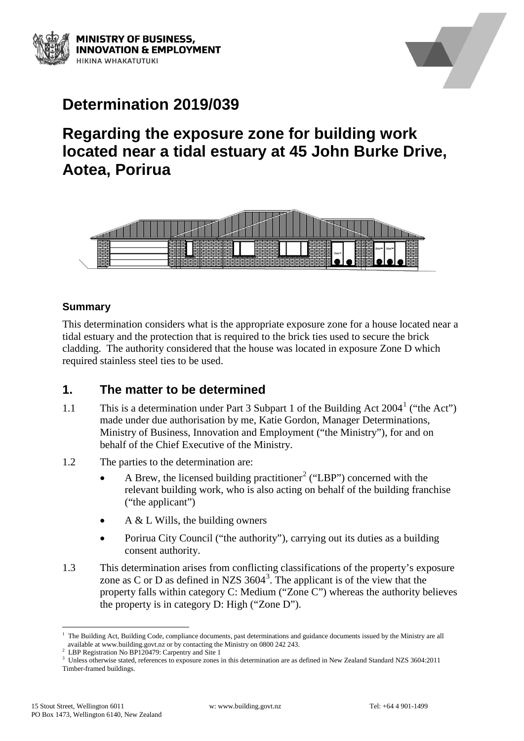



# **Determination 2019/039**

## **Regarding the exposure zone for building work located near a tidal estuary at 45 John Burke Drive, Aotea, Porirua**



#### **Summary**

This determination considers what is the appropriate exposure zone for a house located near a tidal estuary and the protection that is required to the brick ties used to secure the brick cladding. The authority considered that the house was located in exposure Zone D which required stainless steel ties to be used.

## **1. The matter to be determined**

- [1](#page-0-0).1 This is a determination under Part 3 Subpart 1 of the Building Act  $2004<sup>1</sup>$  ("the Act") made under due authorisation by me, Katie Gordon, Manager Determinations, Ministry of Business, Innovation and Employment ("the Ministry"), for and on behalf of the Chief Executive of the Ministry.
- 1.2 The parties to the determination are:
	- A Brew, the licensed building practitioner<sup>[2](#page-0-1)</sup> ("LBP") concerned with the relevant building work, who is also acting on behalf of the building franchise ("the applicant")
	- A  $&$  L Wills, the building owners
	- Porirua City Council ("the authority"), carrying out its duties as a building consent authority.
- 1.3 This determination arises from conflicting classifications of the property's exposure zone as C or D as defined in NZS  $3604<sup>3</sup>$  $3604<sup>3</sup>$ . The applicant is of the view that the property falls within category C: Medium ("Zone C") whereas the authority believes the property is in category D: High ("Zone D").

<span id="page-0-0"></span>The Building Act, Building Code, compliance documents, past determinations and guidance documents issued by the Ministry are all available at www.building.govt.nz or by contacting the Ministry on 0800 242 243.

<sup>&</sup>lt;sup>2</sup> LBP Registration No BP120479: Carpentry and Site 1

<span id="page-0-2"></span><span id="page-0-1"></span><sup>&</sup>lt;sup>3</sup> Unless otherwise stated, references to exposure zones in this determination are as defined in New Zealand Standard NZS 3604:2011 Timber-framed buildings.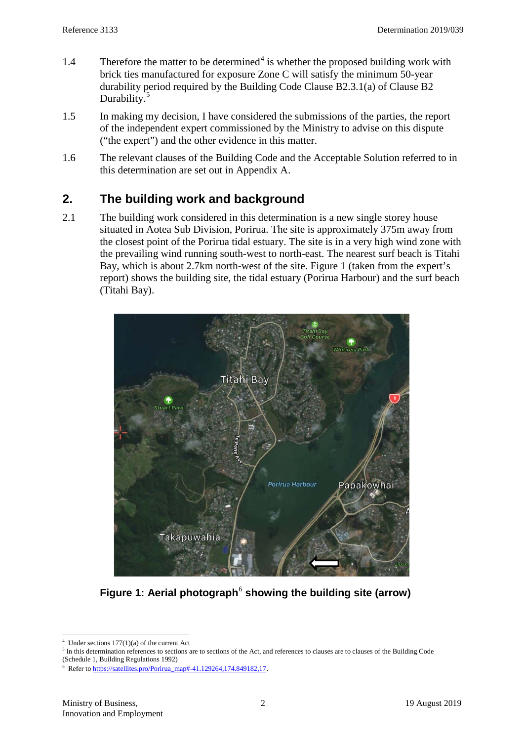- 1.[4](#page-1-0) Therefore the matter to be determined<sup>4</sup> is whether the proposed building work with brick ties manufactured for exposure Zone C will satisfy the minimum 50-year durability period required by the Building Code Clause B2.3.1(a) of Clause B2 Durability.<sup>[5](#page-1-1)</sup>
- 1.5 In making my decision, I have considered the submissions of the parties, the report of the independent expert commissioned by the Ministry to advise on this dispute ("the expert") and the other evidence in this matter.
- 1.6 The relevant clauses of the Building Code and the Acceptable Solution referred to in this determination are set out in Appendix A.

## **2. The building work and background**

2.1 The building work considered in this determination is a new single storey house situated in Aotea Sub Division, Porirua. The site is approximately 375m away from the closest point of the Porirua tidal estuary. The site is in a very high wind zone with the prevailing wind running south-west to north-east. The nearest surf beach is Titahi Bay, which is about 2.7km north-west of the site. Figure 1 (taken from the expert's report) shows the building site, the tidal estuary (Porirua Harbour) and the surf beach (Titahi Bay).



**Figure 1: Aerial photograph<sup>[6](#page-1-2)</sup> showing the building site (arrow)** 

<span id="page-1-0"></span> $4$  Under sections  $177(1)(a)$  of the current Act

<span id="page-1-1"></span><sup>&</sup>lt;sup>5</sup> In this determination references to sections are to sections of the Act, and references to clauses are to clauses of the Building Code (Schedule 1, Building Regulations 1992)

<span id="page-1-2"></span><sup>&</sup>lt;sup>6</sup> Refer t[o https://satellites.pro/Porirua\\_map#-41.129264,174.849182,17](https://satellites.pro/Porirua_map#-41.129264,174.849182,17).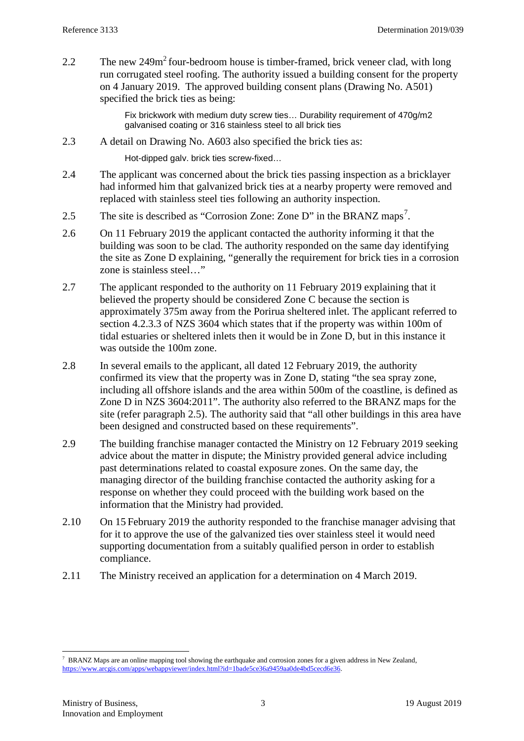<span id="page-2-2"></span>2.2 The new  $249m^2$  four-bedroom house is timber-framed, brick veneer clad, with long run corrugated steel roofing. The authority issued a building consent for the property on 4 January 2019. The approved building consent plans (Drawing No. A501) specified the brick ties as being:

> Fix brickwork with medium duty screw ties… Durability requirement of 470g/m2 galvanised coating or 316 stainless steel to all brick ties

<span id="page-2-3"></span>2.3 A detail on Drawing No. A603 also specified the brick ties as:

Hot-dipped galv. brick ties screw-fixed…

- 2.4 The applicant was concerned about the brick ties passing inspection as a bricklayer had informed him that galvanized brick ties at a nearby property were removed and replaced with stainless steel ties following an authority inspection.
- <span id="page-2-0"></span>2.5 The site is described as "Corrosion Zone: [Zone D"](http://www.branz.co.nz/map-viewer-zone-information#corrosion) in the BRANZ maps<sup>[7](#page-2-1)</sup>.
- 2.6 On 11 February 2019 the applicant contacted the authority informing it that the building was soon to be clad. The authority responded on the same day identifying the site as Zone D explaining, "generally the requirement for brick ties in a corrosion zone is stainless steel…"
- 2.7 The applicant responded to the authority on 11 February 2019 explaining that it believed the property should be considered Zone C because the section is approximately 375m away from the Porirua sheltered inlet. The applicant referred to section 4.2.3.3 of NZS 3604 which states that if the property was within 100m of tidal estuaries or sheltered inlets then it would be in Zone D, but in this instance it was outside the 100m zone.
- 2.8 In several emails to the applicant, all dated 12 February 2019, the authority confirmed its view that the property was in Zone D, stating "the sea spray zone, including all offshore islands and the area within 500m of the coastline, is defined as Zone D in NZS 3604:2011". The authority also referred to the BRANZ maps for the site (refer paragraph [2.5\)](#page-2-0). The authority said that "all other buildings in this area have been designed and constructed based on these requirements".
- 2.9 The building franchise manager contacted the Ministry on 12 February 2019 seeking advice about the matter in dispute; the Ministry provided general advice including past determinations related to coastal exposure zones. On the same day, the managing director of the building franchise contacted the authority asking for a response on whether they could proceed with the building work based on the information that the Ministry had provided.
- 2.10 On 15 February 2019 the authority responded to the franchise manager advising that for it to approve the use of the galvanized ties over stainless steel it would need supporting documentation from a suitably qualified person in order to establish compliance.
- 2.11 The Ministry received an application for a determination on 4 March 2019.

<span id="page-2-1"></span> $\frac{1}{7}$  $\sqrt{B}$  BRANZ Maps are an online mapping tool showing the earthquake and corrosion zones for a given address in New Zealand, [https://www.arcgis.com/apps/webappviewer/index.html?id=1bade5ce36a9459aa0de4bd5cecd6e36.](https://www.arcgis.com/apps/webappviewer/index.html?id=1bade5ce36a9459aa0de4bd5cecd6e36)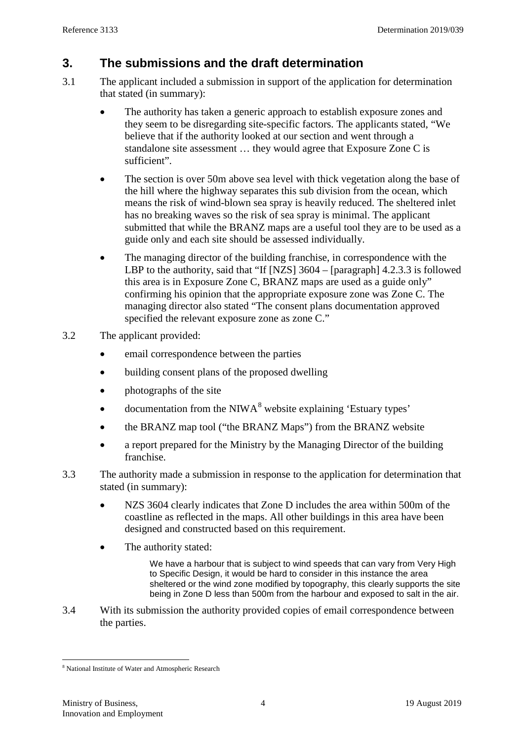## **3. The submissions and the draft determination**

- 3.1 The applicant included a submission in support of the application for determination that stated (in summary):
	- The authority has taken a generic approach to establish exposure zones and they seem to be disregarding site-specific factors. The applicants stated, "We believe that if the authority looked at our section and went through a standalone site assessment … they would agree that Exposure Zone C is sufficient".
	- The section is over 50m above sea level with thick vegetation along the base of the hill where the highway separates this sub division from the ocean, which means the risk of wind-blown sea spray is heavily reduced. The sheltered inlet has no breaking waves so the risk of sea spray is minimal. The applicant submitted that while the BRANZ maps are a useful tool they are to be used as a guide only and each site should be assessed individually.
	- The managing director of the building franchise, in correspondence with the LBP to the authority, said that "If [NZS] 3604 – [paragraph] 4.2.3.3 is followed this area is in Exposure Zone C, BRANZ maps are used as a guide only" confirming his opinion that the appropriate exposure zone was Zone C. The managing director also stated "The consent plans documentation approved specified the relevant exposure zone as zone C."
- 3.2 The applicant provided:
	- email correspondence between the parties
	- building consent plans of the proposed dwelling
	- **photographs of the site**
	- documentation from the NIWA $<sup>8</sup>$  $<sup>8</sup>$  $<sup>8</sup>$  website explaining 'Estuary types'</sup>
	- the BRANZ map tool ("the BRANZ Maps") from the BRANZ website
	- a report prepared for the Ministry by the Managing Director of the building franchise.
- 3.3 The authority made a submission in response to the application for determination that stated (in summary):
	- NZS 3604 clearly indicates that Zone D includes the area within 500m of the coastline as reflected in the maps. All other buildings in this area have been designed and constructed based on this requirement.
	- The authority stated:

We have a harbour that is subject to wind speeds that can vary from Very High to Specific Design, it would be hard to consider in this instance the area sheltered or the wind zone modified by topography, this clearly supports the site being in Zone D less than 500m from the harbour and exposed to salt in the air.

3.4 With its submission the authority provided copies of email correspondence between the parties.

<span id="page-3-0"></span> <sup>8</sup> National Institute of Water and Atmospheric Research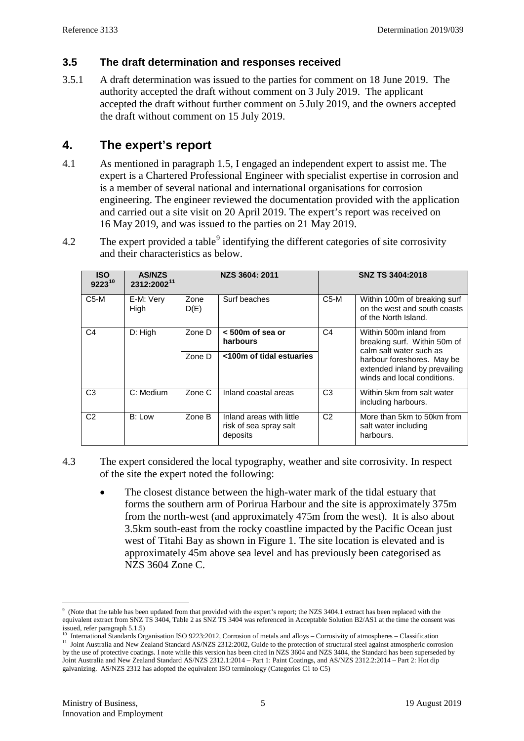#### **3.5 The draft determination and responses received**

3.5.1 A draft determination was issued to the parties for comment on 18 June 2019. The authority accepted the draft without comment on 3 July 2019. The applicant accepted the draft without further comment on 5 July 2019, and the owners accepted the draft without comment on 15 July 2019.

## **4. The expert's report**

- 4.1 As mentioned in paragraph 1.5, I engaged an independent expert to assist me. The expert is a Chartered Professional Engineer with specialist expertise in corrosion and is a member of several national and international organisations for corrosion engineering. The engineer reviewed the documentation provided with the application and carried out a site visit on 20 April 2019. The expert's report was received on 16 May 2019, and was issued to the parties on 21 May 2019.
- 4.2 The expert provided a table  $9$  identifying the different categories of site corrosivity and their characteristics as below.

| <b>ISO</b><br>$9223^{10}$ | <b>AS/NZS</b><br>2312:2002 <sup>11</sup> | NZS 3604: 2011 |                                                                | <b>SNZ TS 3404:2018</b> |                                                                                            |  |
|---------------------------|------------------------------------------|----------------|----------------------------------------------------------------|-------------------------|--------------------------------------------------------------------------------------------|--|
| $C5-M$                    | E-M: Very<br>High                        | Zone<br>D(E)   | Surf beaches                                                   | $C5-M$                  | Within 100m of breaking surf<br>on the west and south coasts<br>of the North Island.       |  |
| C <sub>4</sub>            | D: High                                  | Zone D         | < 500m of sea or<br>harbours                                   | C <sub>4</sub>          | Within 500m inland from<br>breaking surf. Within 50m of<br>calm salt water such as         |  |
|                           |                                          | Zone D         | <100m of tidal estuaries                                       |                         | harbour foreshores. May be<br>extended inland by prevailing<br>winds and local conditions. |  |
| C <sub>3</sub>            | C: Medium                                | Zone C         | Inland coastal areas                                           | C <sub>3</sub>          | Within 5km from salt water<br>including harbours.                                          |  |
| C <sub>2</sub>            | B: Low                                   | Zone B         | Inland areas with little<br>risk of sea spray salt<br>deposits | C <sub>2</sub>          | More than 5km to 50km from<br>salt water including<br>harbours.                            |  |

- 4.3 The expert considered the local typography, weather and site corrosivity. In respect of the site the expert noted the following:
	- The closest distance between the high-water mark of the tidal estuary that forms the southern arm of Porirua Harbour and the site is approximately 375m from the north-west (and approximately 475m from the west). It is also about 3.5km south-east from the rocky coastline impacted by the Pacific Ocean just west of Titahi Bay as shown in Figure 1. The site location is elevated and is approximately 45m above sea level and has previously been categorised as NZS 3604 Zone C.

<span id="page-4-0"></span><sup>-&</sup>lt;br>9 (Note that the table has been updated from that provided with the expert's report; the NZS 3404.1 extract has been replaced with the equivalent extract from SNZ TS 3404, Table 2 as SNZ TS 3404 was referenced in Acceptable Solution B2/AS1 at the time the consent was

issued, refer paragrap[h 5.1.5\)](#page-6-0)<br><sup>10</sup> International Standards Organisation ISO 9223:2012, Corrosion of metals and alloys – Corrosivity of atmospheres – Classification

<span id="page-4-2"></span><span id="page-4-1"></span><sup>&</sup>lt;sup>11</sup> Joint Australia and New Zealand Standard AS/NZS 2312:2002, Guide to the protection of structural steel against atmospheric corrosion by the use of protective coatings. I note while this version has been cited in NZS 3604 and NZS 3404, the Standard has been superseded by Joint Australia and New Zealand Standard AS/NZS 2312.1:2014 – Part 1: Paint Coatings, and AS/NZS 2312.2:2014 – Part 2: Hot dip galvanizing. AS/NZS 2312 has adopted the equivalent ISO terminology (Categories C1 to C5)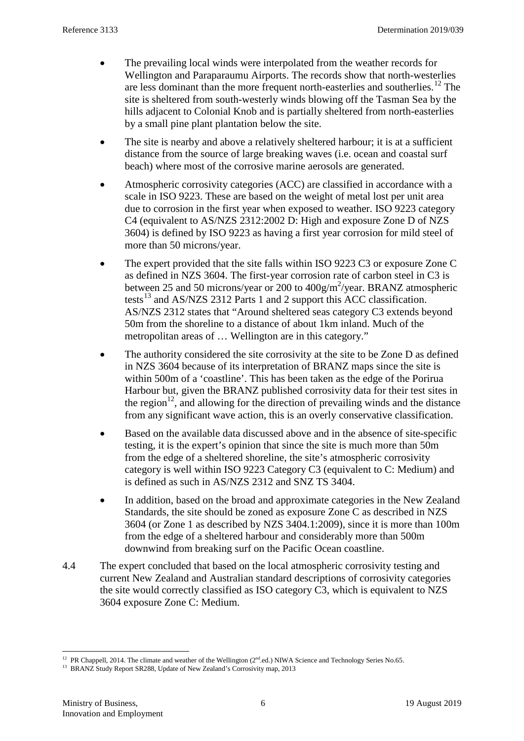- The prevailing local winds were interpolated from the weather records for Wellington and Paraparaumu Airports. The records show that north-westerlies are less dominant than the more frequent north-easterlies and southerlies.<sup>[12](#page-5-0)</sup> The site is sheltered from south-westerly winds blowing off the Tasman Sea by the hills adjacent to Colonial Knob and is partially sheltered from north-easterlies by a small pine plant plantation below the site.
- The site is nearby and above a relatively sheltered harbour; it is at a sufficient distance from the source of large breaking waves (i.e. ocean and coastal surf beach) where most of the corrosive marine aerosols are generated.
- Atmospheric corrosivity categories (ACC) are classified in accordance with a scale in ISO 9223. These are based on the weight of metal lost per unit area due to corrosion in the first year when exposed to weather. ISO 9223 category C4 (equivalent to AS/NZS 2312:2002 D: High and exposure Zone D of NZS 3604) is defined by ISO 9223 as having a first year corrosion for mild steel of more than 50 microns/year.
- The expert provided that the site falls within ISO 9223 C3 or exposure Zone C as defined in NZS 3604. The first-year corrosion rate of carbon steel in C3 is between 25 and 50 microns/year or 200 to  $400g/m^2$ /year. BRANZ atmospheric tests<sup>[13](#page-5-1)</sup> and AS/NZS 2312 Parts 1 and 2 support this ACC classification. AS/NZS 2312 states that "Around sheltered seas category C3 extends beyond 50m from the shoreline to a distance of about 1km inland. Much of the metropolitan areas of … Wellington are in this category."
- The authority considered the site corrosivity at the site to be Zone D as defined in NZS 3604 because of its interpretation of BRANZ maps since the site is within 500m of a 'coastline'. This has been taken as the edge of the Porirua Harbour but, given the BRANZ published corrosivity data for their test sites in the region<sup>12</sup>, and allowing for the direction of prevailing winds and the distance from any significant wave action, this is an overly conservative classification.
- Based on the available data discussed above and in the absence of site-specific testing, it is the expert's opinion that since the site is much more than 50m from the edge of a sheltered shoreline, the site's atmospheric corrosivity category is well within ISO 9223 Category C3 (equivalent to C: Medium) and is defined as such in AS/NZS 2312 and SNZ TS 3404.
- In addition, based on the broad and approximate categories in the New Zealand Standards, the site should be zoned as exposure Zone C as described in NZS 3604 (or Zone 1 as described by NZS 3404.1:2009), since it is more than 100m from the edge of a sheltered harbour and considerably more than 500m downwind from breaking surf on the Pacific Ocean coastline.
- 4.4 The expert concluded that based on the local atmospheric corrosivity testing and current New Zealand and Australian standard descriptions of corrosivity categories the site would correctly classified as ISO category C3, which is equivalent to NZS 3604 exposure Zone C: Medium.

<span id="page-5-0"></span><sup>&</sup>lt;sup>12</sup> PR Chappell, 2014. The climate and weather of the Wellington ( $2<sup>nd</sup>$ .ed.) NIWA Science and Technology Series No.65.

<span id="page-5-1"></span><sup>&</sup>lt;sup>13</sup> BRANZ Study Report SR288, Update of New Zealand's Corrosivity map, 2013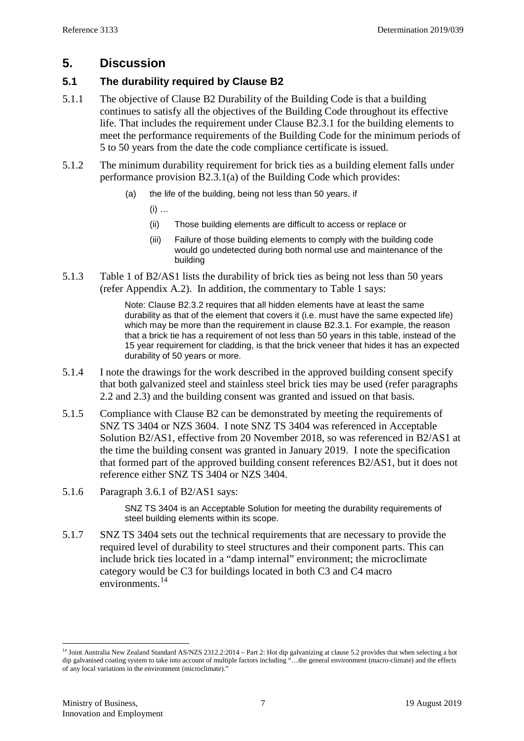## **5. Discussion**

#### **5.1 The durability required by Clause B2**

- 5.1.1 The objective of Clause B2 Durability of the Building Code is that a building continues to satisfy all the objectives of the Building Code throughout its effective life. That includes the requirement under Clause B2.3.1 for the building elements to meet the performance requirements of the Building Code for the minimum periods of 5 to 50 years from the date the code compliance certificate is issued.
- 5.1.2 The minimum durability requirement for brick ties as a building element falls under performance provision B2.3.1(a) of the Building Code which provides:
	- (a) the life of the building, being not less than 50 years, if
		- $(i)$  ...
		- (ii) Those building elements are difficult to access or replace or
		- (iii) Failure of those building elements to comply with the building code would go undetected during both normal use and maintenance of the building
- 5.1.3 Table 1 of B2/AS1 lists the durability of brick ties as being not less than 50 years (refer Appendix A.2). In addition, the commentary to Table 1 says:

Note: Clause B2.3.2 requires that all hidden elements have at least the same durability as that of the element that covers it (i.e. must have the same expected life) which may be more than the requirement in clause B2.3.1. For example, the reason that a brick tie has a requirement of not less than 50 years in this table, instead of the 15 year requirement for cladding, is that the brick veneer that hides it has an expected durability of 50 years or more.

- 5.1.4 I note the drawings for the work described in the approved building consent specify that both galvanized steel and stainless steel brick ties may be used (refer paragraphs [2.2](#page-2-2) and [2.3\)](#page-2-3) and the building consent was granted and issued on that basis.
- <span id="page-6-0"></span>5.1.5 Compliance with Clause B2 can be demonstrated by meeting the requirements of SNZ TS 3404 or NZS 3604. I note SNZ TS 3404 was referenced in Acceptable Solution B2/AS1, effective from 20 November 2018, so was referenced in B2/AS1 at the time the building consent was granted in January 2019. I note the specification that formed part of the approved building consent references B2/AS1, but it does not reference either SNZ TS 3404 or NZS 3404.
- 5.1.6 Paragraph 3.6.1 of B2/AS1 says:

SNZ TS 3404 is an Acceptable Solution for meeting the durability requirements of steel building elements within its scope.

5.1.7 SNZ TS 3404 sets out the technical requirements that are necessary to provide the required level of durability to steel structures and their component parts. This can include brick ties located in a "damp internal" environment; the microclimate category would be C3 for buildings located in both C3 and C4 macro environments. [14](#page-6-1)

<span id="page-6-1"></span><sup>&</sup>lt;sup>14</sup> Joint Australia New Zealand Standard AS/NZS 2312.2:2014 – Part 2: Hot dip galvanizing at clause 5.2 provides that when selecting a hot dip galvanised coating system to take into account of multiple factors including "…the general environment (macro-climate) and the effects of any local variations in the environment (microclimate)."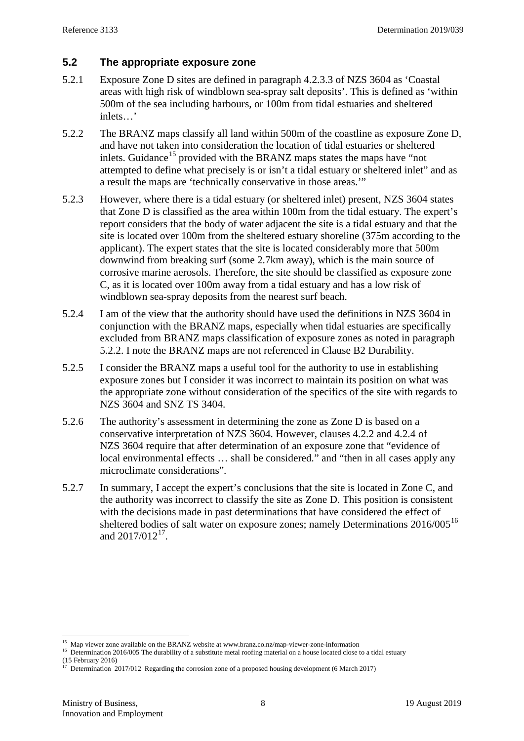#### **5.2 The app**r**opriate exposure zone**

- 5.2.1 Exposure Zone D sites are defined in paragraph 4.2.3.3 of NZS 3604 as 'Coastal areas with high risk of windblown sea-spray salt deposits'. This is defined as 'within 500m of the sea including harbours, or 100m from tidal estuaries and sheltered inlets…'
- <span id="page-7-0"></span>5.2.2 The BRANZ maps classify all land within 500m of the coastline as exposure Zone D, and have not taken into consideration the location of tidal estuaries or sheltered inlets. Guidance<sup>[15](#page-7-1)</sup> provided with the BRANZ maps states the maps have "not" attempted to define what precisely is or isn't a tidal estuary or sheltered inlet" and as a result the maps are 'technically conservative in those areas.'"
- 5.2.3 However, where there is a tidal estuary (or sheltered inlet) present, NZS 3604 states that Zone D is classified as the area within 100m from the tidal estuary. The expert's report considers that the body of water adjacent the site is a tidal estuary and that the site is located over 100m from the sheltered estuary shoreline (375m according to the applicant). The expert states that the site is located considerably more that 500m downwind from breaking surf (some 2.7km away), which is the main source of corrosive marine aerosols. Therefore, the site should be classified as exposure zone C, as it is located over 100m away from a tidal estuary and has a low risk of windblown sea-spray deposits from the nearest surf beach.
- 5.2.4 I am of the view that the authority should have used the definitions in NZS 3604 in conjunction with the BRANZ maps, especially when tidal estuaries are specifically excluded from BRANZ maps classification of exposure zones as noted in paragraph [5.2.2.](#page-7-0) I note the BRANZ maps are not referenced in Clause B2 Durability.
- 5.2.5 I consider the BRANZ maps a useful tool for the authority to use in establishing exposure zones but I consider it was incorrect to maintain its position on what was the appropriate zone without consideration of the specifics of the site with regards to NZS 3604 and SNZ TS 3404.
- 5.2.6 The authority's assessment in determining the zone as Zone D is based on a conservative interpretation of NZS 3604. However, clauses 4.2.2 and 4.2.4 of NZS 3604 require that after determination of an exposure zone that "evidence of local environmental effects … shall be considered." and "then in all cases apply any microclimate considerations".
- 5.2.7 In summary, I accept the expert's conclusions that the site is located in Zone C, and the authority was incorrect to classify the site as Zone D. This position is consistent with the decisions made in past determinations that have considered the effect of sheltered bodies of salt water on exposure zones; namely Determinations 20[16](#page-7-2)/005<sup>16</sup> and  $2017/012^{17}$ .

<span id="page-7-1"></span><sup>&</sup>lt;sup>15</sup> Map viewer zone available on the BRANZ website at www.branz.co.nz/map-viewer-zone-information 16 Determination 2016/005 The durability of a substitute metal roofing material on a house located close to a tidal estuar

<span id="page-7-2"></span><sup>(15</sup> February 2016)

<span id="page-7-3"></span>Determination 2017/012 Regarding the corrosion zone of a proposed housing development (6 March 2017)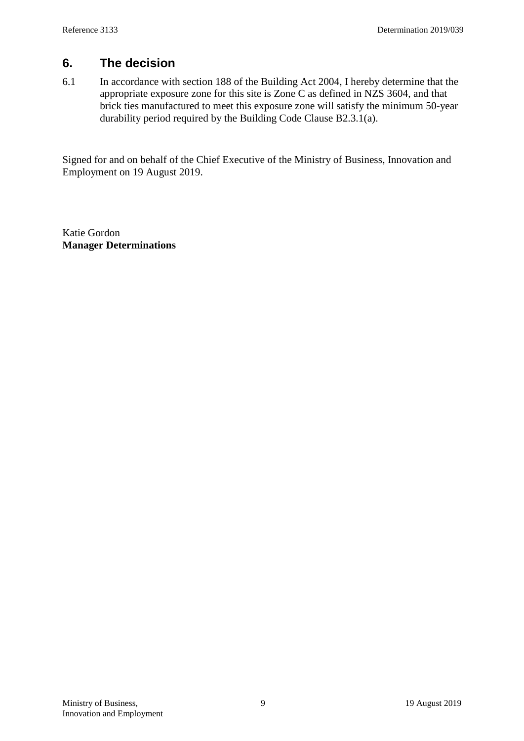#### **6. The decision**

6.1 In accordance with section 188 of the Building Act 2004, I hereby determine that the appropriate exposure zone for this site is Zone C as defined in NZS 3604, and that brick ties manufactured to meet this exposure zone will satisfy the minimum 50-year durability period required by the Building Code Clause B2.3.1(a).

Signed for and on behalf of the Chief Executive of the Ministry of Business, Innovation and Employment on 19 August 2019.

Katie Gordon **Manager Determinations**